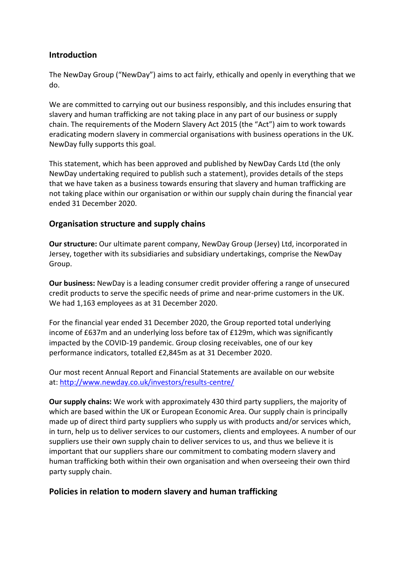# **Introduction**

The NewDay Group ("NewDay") aims to act fairly, ethically and openly in everything that we do.

We are committed to carrying out our business responsibly, and this includes ensuring that slavery and human trafficking are not taking place in any part of our business or supply chain. The requirements of the Modern Slavery Act 2015 (the "Act") aim to work towards eradicating modern slavery in commercial organisations with business operations in the UK. NewDay fully supports this goal.

This statement, which has been approved and published by NewDay Cards Ltd (the only NewDay undertaking required to publish such a statement), provides details of the steps that we have taken as a business towards ensuring that slavery and human trafficking are not taking place within our organisation or within our supply chain during the financial year ended 31 December 2020.

# **Organisation structure and supply chains**

**Our structure:** Our ultimate parent company, NewDay Group (Jersey) Ltd, incorporated in Jersey, together with its subsidiaries and subsidiary undertakings, comprise the NewDay Group.

**Our business:** NewDay is a leading consumer credit provider offering a range of unsecured credit products to serve the specific needs of prime and near-prime customers in the UK. We had 1,163 employees as at 31 December 2020.

For the financial year ended 31 December 2020, the Group reported total underlying income of £637m and an underlying loss before tax of £129m, which was significantly impacted by the COVID-19 pandemic. Group closing receivables, one of our key performance indicators, totalled £2,845m as at 31 December 2020.

Our most recent Annual Report and Financial Statements are available on our website at: [http://www.newday.co.uk/investors/results-centre/](/%7blocalLink:umb:/document/3b826a1b6c5441d58b41c7379ba082d7%7d)

**Our supply chains:** We work with approximately 430 third party suppliers, the majority of which are based within the UK or European Economic Area. Our supply chain is principally made up of direct third party suppliers who supply us with products and/or services which, in turn, help us to deliver services to our customers, clients and employees. A number of our suppliers use their own supply chain to deliver services to us, and thus we believe it is important that our suppliers share our commitment to combating modern slavery and human trafficking both within their own organisation and when overseeing their own third party supply chain.

### **Policies in relation to modern slavery and human trafficking**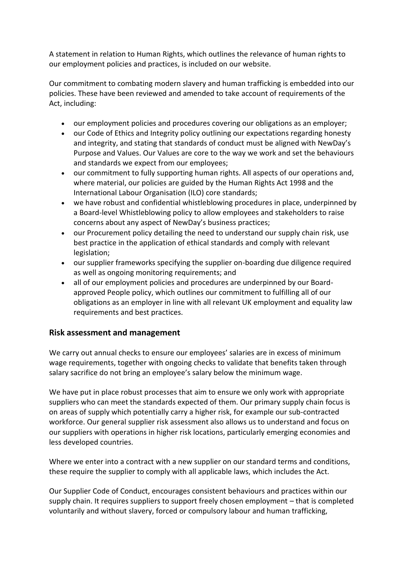A statement in relation to Human Rights, which outlines the relevance of human rights to our employment policies and practices, is included on our website.

Our commitment to combating modern slavery and human trafficking is embedded into our policies. These have been reviewed and amended to take account of requirements of the Act, including:

- our employment policies and procedures covering our obligations as an employer;
- our Code of Ethics and Integrity policy outlining our expectations regarding honesty and integrity, and stating that standards of conduct must be aligned with NewDay's Purpose and Values. Our Values are core to the way we work and set the behaviours and standards we expect from our employees;
- our commitment to fully supporting human rights. All aspects of our operations and, where material, our policies are guided by the Human Rights Act 1998 and the International Labour Organisation (ILO) core standards;
- we have robust and confidential whistleblowing procedures in place, underpinned by a Board-level Whistleblowing policy to allow employees and stakeholders to raise concerns about any aspect of NewDay's business practices;
- our Procurement policy detailing the need to understand our supply chain risk, use best practice in the application of ethical standards and comply with relevant legislation;
- our supplier frameworks specifying the supplier on-boarding due diligence required as well as ongoing monitoring requirements; and
- all of our employment policies and procedures are underpinned by our Boardapproved People policy, which outlines our commitment to fulfilling all of our obligations as an employer in line with all relevant UK employment and equality law requirements and best practices.

### **Risk assessment and management**

We carry out annual checks to ensure our employees' salaries are in excess of minimum wage requirements, together with ongoing checks to validate that benefits taken through salary sacrifice do not bring an employee's salary below the minimum wage.

We have put in place robust processes that aim to ensure we only work with appropriate suppliers who can meet the standards expected of them. Our primary supply chain focus is on areas of supply which potentially carry a higher risk, for example our sub-contracted workforce. Our general supplier risk assessment also allows us to understand and focus on our suppliers with operations in higher risk locations, particularly emerging economies and less developed countries.

Where we enter into a contract with a new supplier on our standard terms and conditions, these require the supplier to comply with all applicable laws, which includes the Act.

Our Supplier Code of Conduct, encourages consistent behaviours and practices within our supply chain. It requires suppliers to support freely chosen employment – that is completed voluntarily and without slavery, forced or compulsory labour and human trafficking,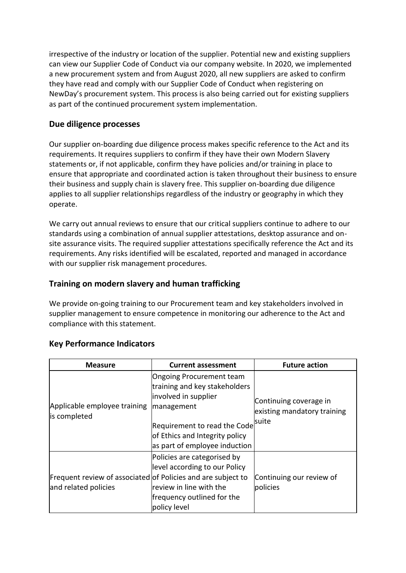irrespective of the industry or location of the supplier. Potential new and existing suppliers can view our Supplier Code of Conduct via our company website. In 2020, we implemented a new procurement system and from August 2020, all new suppliers are asked to confirm they have read and comply with our Supplier Code of Conduct when registering on NewDay's procurement system. This process is also being carried out for existing suppliers as part of the continued procurement system implementation.

## **Due diligence processes**

Our supplier on-boarding due diligence process makes specific reference to the Act and its requirements. It requires suppliers to confirm if they have their own Modern Slavery statements or, if not applicable, confirm they have policies and/or training in place to ensure that appropriate and coordinated action is taken throughout their business to ensure their business and supply chain is slavery free. This supplier on-boarding due diligence applies to all supplier relationships regardless of the industry or geography in which they operate.

We carry out annual reviews to ensure that our critical suppliers continue to adhere to our standards using a combination of annual supplier attestations, desktop assurance and onsite assurance visits. The required supplier attestations specifically reference the Act and its requirements. Any risks identified will be escalated, reported and managed in accordance with our supplier risk management procedures.

# **Training on modern slavery and human trafficking**

We provide on-going training to our Procurement team and key stakeholders involved in supplier management to ensure competence in monitoring our adherence to the Act and compliance with this statement.

| <b>Measure</b>                                                                       | <b>Current assessment</b>                                                                                                                                                                          | <b>Future action</b>                                           |
|--------------------------------------------------------------------------------------|----------------------------------------------------------------------------------------------------------------------------------------------------------------------------------------------------|----------------------------------------------------------------|
| Applicable employee training<br>is completed                                         | Ongoing Procurement team<br>training and key stakeholders<br>involved in supplier<br>management<br>Requirement to read the Code<br>of Ethics and Integrity policy<br>as part of employee induction | Continuing coverage in<br>existing mandatory training<br>suite |
| Frequent review of associated of Policies and are subject to<br>and related policies | Policies are categorised by<br>level according to our Policy<br>review in line with the<br>frequency outlined for the<br>policy level                                                              | Continuing our review of<br>policies                           |

### **Key Performance Indicators**